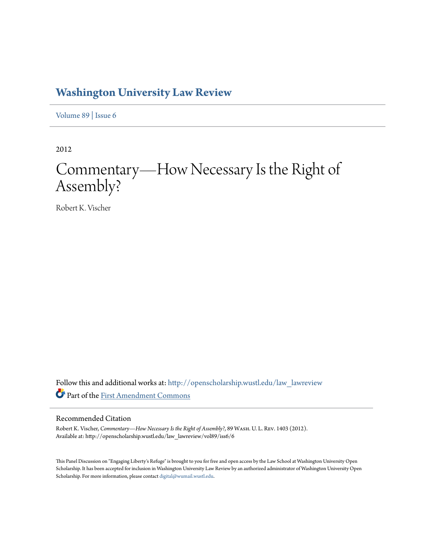## **[Washington University Law Review](http://openscholarship.wustl.edu/law_lawreview?utm_source=openscholarship.wustl.edu%2Flaw_lawreview%2Fvol89%2Fiss6%2F6&utm_medium=PDF&utm_campaign=PDFCoverPages)**

[Volume 89](http://openscholarship.wustl.edu/law_lawreview/vol89?utm_source=openscholarship.wustl.edu%2Flaw_lawreview%2Fvol89%2Fiss6%2F6&utm_medium=PDF&utm_campaign=PDFCoverPages) | [Issue 6](http://openscholarship.wustl.edu/law_lawreview/vol89/iss6?utm_source=openscholarship.wustl.edu%2Flaw_lawreview%2Fvol89%2Fiss6%2F6&utm_medium=PDF&utm_campaign=PDFCoverPages)

2012

# Commentary—How Necessary Is the Right of Assembly?

Robert K. Vischer

Follow this and additional works at: [http://openscholarship.wustl.edu/law\\_lawreview](http://openscholarship.wustl.edu/law_lawreview?utm_source=openscholarship.wustl.edu%2Flaw_lawreview%2Fvol89%2Fiss6%2F6&utm_medium=PDF&utm_campaign=PDFCoverPages) Part of the [First Amendment Commons](http://network.bepress.com/hgg/discipline/1115?utm_source=openscholarship.wustl.edu%2Flaw_lawreview%2Fvol89%2Fiss6%2F6&utm_medium=PDF&utm_campaign=PDFCoverPages)

#### Recommended Citation

Robert K. Vischer, *Commentary—How Necessary Is the Right of Assembly?*, 89 Wash. U. L. Rev. 1403 (2012). Available at: http://openscholarship.wustl.edu/law\_lawreview/vol89/iss6/6

This Panel Discussion on "Engaging Liberty's Refuge" is brought to you for free and open access by the Law School at Washington University Open Scholarship. It has been accepted for inclusion in Washington University Law Review by an authorized administrator of Washington University Open Scholarship. For more information, please contact [digital@wumail.wustl.edu](mailto:digital@wumail.wustl.edu).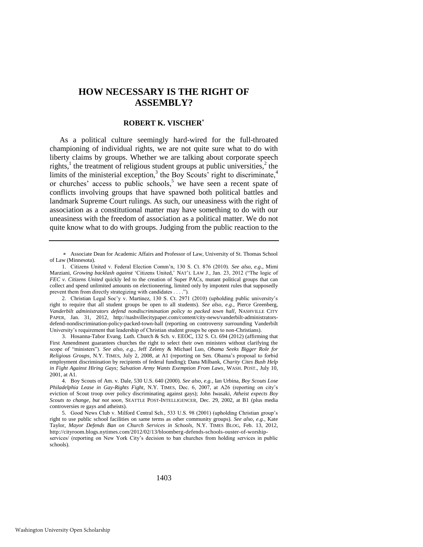### **HOW NECESSARY IS THE RIGHT OF ASSEMBLY?**

#### **ROBERT K. VISCHER**

As a political culture seemingly hard-wired for the full-throated championing of individual rights, we are not quite sure what to do with liberty claims by groups. Whether we are talking about corporate speech rights,<sup>1</sup> the treatment of religious student groups at public universities,<sup>2</sup> the limits of the ministerial exception,<sup>3</sup> the Boy Scouts<sup>3</sup> right to discriminate,<sup>4</sup> or churches' access to public schools,<sup>5</sup> we have seen a recent spate of conflicts involving groups that have spawned both political battles and landmark Supreme Court rulings. As such, our uneasiness with the right of association as a constitutional matter may have something to do with our uneasiness with the freedom of association as a political matter. We do not quite know what to do with groups. Judging from the public reaction to the

1403

Associate Dean for Academic Affairs and Professor of Law, University of St. Thomas School of Law (Minnesota).

<sup>1.</sup> Citizens United v. Federal Election Comm'n, 130 S. Ct. 876 (2010). *See also, e.g*., Mimi Marziani, *Growing backlash against* 'Citizens United,' NAT'L LAW J., Jan. 23, 2012 ("The logic of *FEC v. Citizens United* quickly led to the creation of Super PACs, mutant political groups that can collect and spend unlimited amounts on electioneering, limited only by impotent rules that supposedly prevent them from directly strategizing with candidates . . . .").

<sup>2.</sup> Christian Legal Soc'y v. Martinez, 130 S. Ct. 2971 (2010) (upholding public university's right to require that all student groups be open to all students). *See also, e.g.*, Pierce Greenberg, *Vanderbilt administrators defend nondiscrimination policy to packed town hall*, NASHVILLE CITY PAPER, Jan. 31, 2012, http://nashvillecitypaper.com/content/city-news/vanderbilt-administratorsdefend-nondiscrimination-policy-packed-town-hall (reporting on controversy surrounding Vanderbilt University's requirement that leadership of Christian student groups be open to non-Christians).

<sup>3.</sup> Hosanna-Tabor Evang. Luth. Church & Sch. v. EEOC, 132 S. Ct. 694 (2012) (affirming that First Amendment guarantees churches the right to select their own ministers without clarifying the scope of "ministers"). *See also, e.g.*, Jeff Zeleny & Michael Luo, *Obama Seeks Bigger Role for Religious Groups*, N.Y. TIMES, July 2, 2008, at A1 (reporting on Sen. Obama's proposal to forbid employment discrimination by recipients of federal funding); Dana Milbank, *Charity Cites Bush Help in Fight Against Hiring Gays; Salvation Army Wants Exemption From Laws*, WASH. POST., July 10, 2001, at A1.

<sup>4.</sup> Boy Scouts of Am. v. Dale, 530 U.S. 640 (2000). *See also, e.g.*, Ian Urbina, *Boy Scouts Lose Philadelphia Lease in Gay-Rights Fight*, N.Y. TIMES, Dec. 6, 2007, at A26 (reporting on city's eviction of Scout troop over policy discriminating against gays); John Iwasaki, *Atheist expects Boy Scouts to change, but not soon*, SEATTLE POST-INTELLIGENCER, Dec. 29, 2002, at B1 (plus media controversies re gays and atheists).

<sup>5.</sup> Good News Club v. Milford Central Sch., 533 U.S. 98 (2001) (upholding Christian group's right to use public school facilities on same terms as other community groups). *See also, e.g.*, Kate Taylor, *Mayor Defends Ban on Church Services in Schools*, N.Y. TIMES BLOG, Feb. 13, 2012, http://cityroom.blogs.nytimes.com/2012/02/13/bloomberg-defends-schools-ouster-of-worshipservices/ (reporting on New York City's decision to ban churches from holding services in public schools).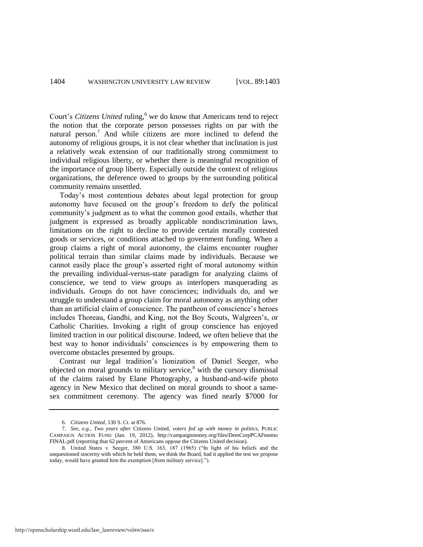Court's *Citizens United* ruling,<sup>6</sup> we do know that Americans tend to reject the notion that the corporate person possesses rights on par with the natural person.<sup>7</sup> And while citizens are more inclined to defend the autonomy of religious groups, it is not clear whether that inclination is just a relatively weak extension of our traditionally strong commitment to individual religious liberty, or whether there is meaningful recognition of the importance of group liberty. Especially outside the context of religious organizations, the deference owed to groups by the surrounding political community remains unsettled.

Today's most contentious debates about legal protection for group autonomy have focused on the group's freedom to defy the political community's judgment as to what the common good entails, whether that judgment is expressed as broadly applicable nondiscrimination laws, limitations on the right to decline to provide certain morally contested goods or services, or conditions attached to government funding. When a group claims a right of moral autonomy, the claims encounter rougher political terrain than similar claims made by individuals. Because we cannot easily place the group's asserted right of moral autonomy within the prevailing individual-versus-state paradigm for analyzing claims of conscience, we tend to view groups as interlopers masquerading as individuals. Groups do not have consciences; individuals do, and we struggle to understand a group claim for moral autonomy as anything other than an artificial claim of conscience. The pantheon of conscience's heroes includes Thoreau, Gandhi, and King, not the Boy Scouts, Walgreen's, or Catholic Charities. Invoking a right of group conscience has enjoyed limited traction in our political discourse. Indeed, we often believe that the best way to honor individuals' consciences is by empowering them to overcome obstacles presented by groups.

Contrast our legal tradition's lionization of Daniel Seeger, who objected on moral grounds to military service,<sup>8</sup> with the cursory dismissal of the claims raised by Elane Photography, a husband-and-wife photo agency in New Mexico that declined on moral grounds to shoot a samesex commitment ceremony. The agency was fined nearly \$7000 for

<sup>6.</sup> *Citizens United*, 130 S. Ct. at 876.

<sup>7.</sup> *See, e.g.*, *Two years after* Citizens United*, voters fed up with money in politics*, PUBLIC CAMPAIGN ACTION FUND (Jan. 19, 2012), <http://campaignmoney.org/files/DemCorpPCAFmemo> FINAL.pdf (reporting that 62 percent of Americans oppose the Citizens United decision).

<sup>8.</sup> United States v. Seeger, 380 U.S. 163, 187 (1965) ("In light of his beliefs and the unquestioned sincerity with which he held them, we think the Board, had it applied the test we propose today, would have granted him the exemption [from military service].").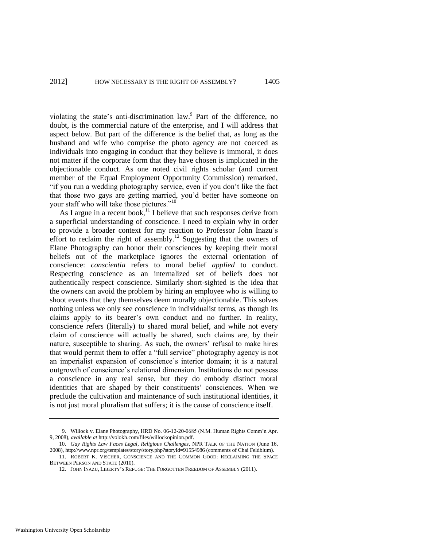violating the state's anti-discrimination law.<sup>9</sup> Part of the difference, no doubt, is the commercial nature of the enterprise, and I will address that aspect below. But part of the difference is the belief that, as long as the husband and wife who comprise the photo agency are not coerced as individuals into engaging in conduct that they believe is immoral, it does not matter if the corporate form that they have chosen is implicated in the objectionable conduct. As one noted civil rights scholar (and current member of the Equal Employment Opportunity Commission) remarked, "if you run a wedding photography service, even if you don't like the fact that those two gays are getting married, you'd better have someone on your staff who will take those pictures."<sup>10</sup>

<span id="page-3-0"></span>As I argue in a recent book,<sup>11</sup> I believe that such responses derive from a superficial understanding of conscience. I need to explain why in order to provide a broader context for my reaction to Professor John Inazu's effort to reclaim the right of assembly.<sup>12</sup> Suggesting that the owners of Elane Photography can honor their consciences by keeping their moral beliefs out of the marketplace ignores the external orientation of conscience: *conscientia* refers to moral belief *applied* to conduct. Respecting conscience as an internalized set of beliefs does not authentically respect conscience. Similarly short-sighted is the idea that the owners can avoid the problem by hiring an employee who is willing to shoot events that they themselves deem morally objectionable. This solves nothing unless we only see conscience in individualist terms, as though its claims apply to its bearer's own conduct and no further. In reality, conscience refers (literally) to shared moral belief, and while not every claim of conscience will actually be shared, such claims are, by their nature, susceptible to sharing. As such, the owners' refusal to make hires that would permit them to offer a "full service" photography agency is not an imperialist expansion of conscience's interior domain; it is a natural outgrowth of conscience's relational dimension. Institutions do not possess a conscience in any real sense, but they do embody distinct moral identities that are shaped by their constituents' consciences. When we preclude the cultivation and maintenance of such institutional identities, it is not just moral pluralism that suffers; it is the cause of conscience itself.

<sup>9.</sup> Willock v. Elane Photography, HRD No. 06-12-20-0685 (N.M. Human Rights Comm'n Apr. 9, 2008), *available at* http://volokh.com/files/willockopinion.pdf.

<sup>10.</sup> *Gay Rights Law Faces Legal, Religious Challenges*, NPR TALK OF THE NATION (June 16, 2008), http://www.npr.org/templates/story/story.php?storyId=91554986 (comments of Chai Feldblum).

<sup>11.</sup> ROBERT K. VISCHER, CONSCIENCE AND THE COMMON GOOD: RECLAIMING THE SPACE BETWEEN PERSON AND STATE (2010).

<sup>12.</sup> JOHN INAZU, LIBERTY'S REFUGE: THE FORGOTTEN FREEDOM OF ASSEMBLY (2011).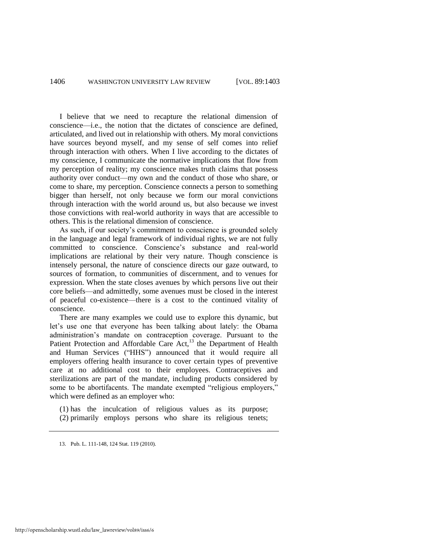I believe that we need to recapture the relational dimension of conscience—i.e., the notion that the dictates of conscience are defined, articulated, and lived out in relationship with others. My moral convictions have sources beyond myself, and my sense of self comes into relief through interaction with others. When I live according to the dictates of my conscience, I communicate the normative implications that flow from my perception of reality; my conscience makes truth claims that possess authority over conduct—my own and the conduct of those who share, or come to share, my perception. Conscience connects a person to something bigger than herself, not only because we form our moral convictions through interaction with the world around us, but also because we invest those convictions with real-world authority in ways that are accessible to others. This is the relational dimension of conscience.

As such, if our society's commitment to conscience is grounded solely in the language and legal framework of individual rights, we are not fully committed to conscience. Conscience's substance and real-world implications are relational by their very nature. Though conscience is intensely personal, the nature of conscience directs our gaze outward, to sources of formation, to communities of discernment, and to venues for expression. When the state closes avenues by which persons live out their core beliefs—and admittedly, some avenues must be closed in the interest of peaceful co-existence—there is a cost to the continued vitality of conscience.

There are many examples we could use to explore this dynamic, but let's use one that everyone has been talking about lately: the Obama administration's mandate on contraception coverage. Pursuant to the Patient Protection and Affordable Care Act,<sup>13</sup> the Department of Health and Human Services ("HHS") announced that it would require all employers offering health insurance to cover certain types of preventive care at no additional cost to their employees. Contraceptives and sterilizations are part of the mandate, including products considered by some to be abortifacents. The mandate exempted "religious employers," which were defined as an employer who:

(1) has the inculcation of religious values as its purpose; (2) primarily employs persons who share its religious tenets;

<sup>13.</sup> Pub. L. 111-148, 124 Stat. 119 (2010).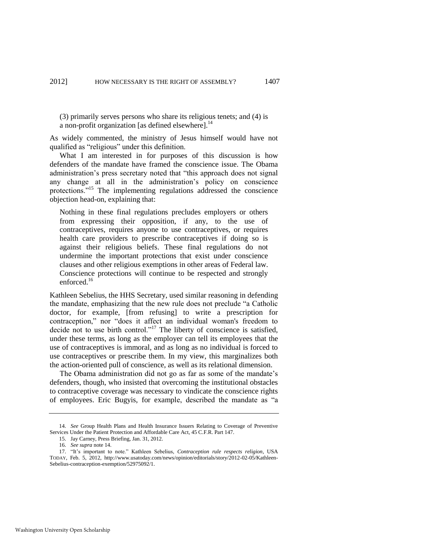<span id="page-5-0"></span>(3) primarily serves persons who share its religious tenets; and (4) is a non-profit organization [as defined elsewhere]. $^{14}$ 

As widely commented, the ministry of Jesus himself would have not qualified as "religious" under this definition.

What I am interested in for purposes of this discussion is how defenders of the mandate have framed the conscience issue. The Obama administration's press secretary noted that "this approach does not signal any change at all in the administration's policy on conscience protections."<sup>15</sup> The implementing regulations addressed the conscience objection head-on, explaining that:

Nothing in these final regulations precludes employers or others from expressing their opposition, if any, to the use of contraceptives, requires anyone to use contraceptives, or requires health care providers to prescribe contraceptives if doing so is against their religious beliefs. These final regulations do not undermine the important protections that exist under conscience clauses and other religious exemptions in other areas of Federal law. Conscience protections will continue to be respected and strongly enforced.<sup>16</sup>

Kathleen Sebelius, the HHS Secretary, used similar reasoning in defending the mandate, emphasizing that the new rule does not preclude "a Catholic doctor, for example, [from refusing] to write a prescription for contraception," nor "does it affect an individual woman's freedom to decide not to use birth control."<sup>17</sup> The liberty of conscience is satisfied, under these terms, as long as the employer can tell its employees that the use of contraceptives is immoral, and as long as no individual is forced to use contraceptives or prescribe them. In my view, this marginalizes both the action-oriented pull of conscience, as well as its relational dimension.

The Obama administration did not go as far as some of the mandate's defenders, though, who insisted that overcoming the institutional obstacles to contraceptive coverage was necessary to vindicate the conscience rights of employees. Eric Bugyis, for example, described the mandate as "a

<sup>14.</sup> *See* Group Health Plans and Health Insurance Issuers Relating to Coverage of Preventive Services Under the Patient Protection and Affordable Care Act, 45 C.F.R. Part 147.

<sup>15.</sup> Jay Carney, Press Briefing, Jan. 31, 2012.

<sup>16.</sup> *See supra* not[e 14.](#page-5-0) 

<sup>17. &</sup>quot;It's important to note." Kathleen Sebelius, *Contraception rule respects religion*, USA TODAY, Feb. 5, 2012, http://www.usatoday.com/news/opinion/editorials/story/2012-02-05/Kathleen-Sebelius-contraception-exemption/52975092/1.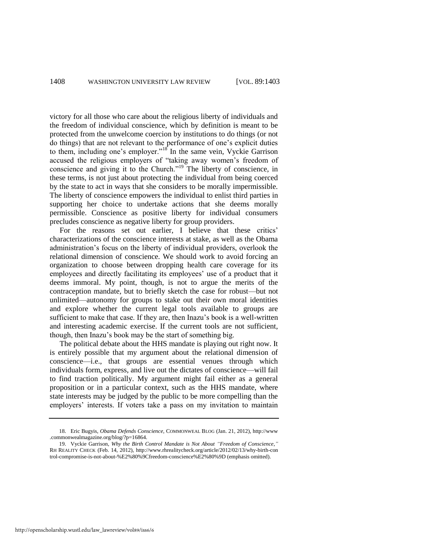victory for all those who care about the religious liberty of individuals and the freedom of individual conscience, which by definition is meant to be protected from the unwelcome coercion by institutions to do things (or not do things) that are not relevant to the performance of one's explicit duties to them, including one's employer."<sup>18</sup> In the same vein, Vyckie Garrison accused the religious employers of "taking away women's freedom of conscience and giving it to the Church.<sup> $19$ </sup> The liberty of conscience, in these terms, is not just about protecting the individual from being coerced by the state to act in ways that she considers to be morally impermissible. The liberty of conscience empowers the individual to enlist third parties in supporting her choice to undertake actions that she deems morally permissible. Conscience as positive liberty for individual consumers precludes conscience as negative liberty for group providers.

For the reasons set out earlier, I believe that these critics' characterizations of the conscience interests at stake, as well as the Obama administration's focus on the liberty of individual providers, overlook the relational dimension of conscience. We should work to avoid forcing an organization to choose between dropping health care coverage for its employees and directly facilitating its employees' use of a product that it deems immoral. My point, though, is not to argue the merits of the contraception mandate, but to briefly sketch the case for robust—but not unlimited—autonomy for groups to stake out their own moral identities and explore whether the current legal tools available to groups are sufficient to make that case. If they are, then Inazu's book is a well-written and interesting academic exercise. If the current tools are not sufficient, though, then Inazu's book may be the start of something big.

The political debate about the HHS mandate is playing out right now. It is entirely possible that my argument about the relational dimension of conscience—i.e., that groups are essential venues through which individuals form, express, and live out the dictates of conscience—will fail to find traction politically. My argument might fail either as a general proposition or in a particular context, such as the HHS mandate, where state interests may be judged by the public to be more compelling than the employers' interests. If voters take a pass on my invitation to maintain

<sup>18.</sup> Eric Bugyis, *Obama Defends Conscience*, COMMONWEAL BLOG (Jan. 21, 2012), http://www .commonwealmagazine.org/blog/?p=16864.

<sup>19.</sup> Vyckie Garrison, *Why the Birth Control Mandate is Not About "Freedom of Conscience*,*"* RH REALITY CHECK (Feb. 14, 2012), http://www.rhrealitycheck.org/article/2012/02/13/why-birth-con trol-compromise-is-not-about-%E2%80%9Cfreedom-conscience%E2%80%9D (emphasis omitted).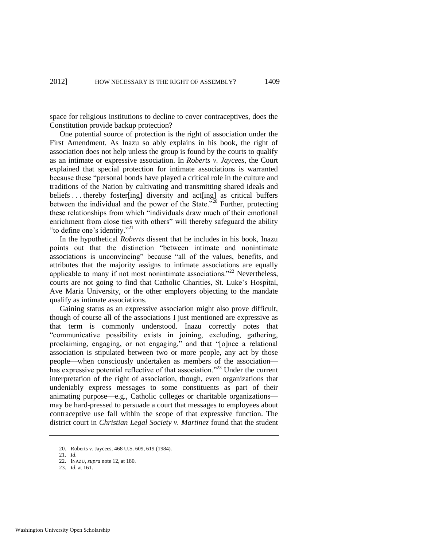space for religious institutions to decline to cover contraceptives, does the Constitution provide backup protection?

One potential source of protection is the right of association under the First Amendment. As Inazu so ably explains in his book, the right of association does not help unless the group is found by the courts to qualify as an intimate or expressive association. In *Roberts v. Jaycees*, the Court explained that special protection for intimate associations is warranted because these "personal bonds have played a critical role in the culture and traditions of the Nation by cultivating and transmitting shared ideals and beliefs ... thereby foster [ing] diversity and act [ing] as critical buffers between the individual and the power of the State.<sup>520</sup> Further, protecting these relationships from which "individuals draw much of their emotional enrichment from close ties with others" will thereby safeguard the ability "to define one's identity."<sup>21</sup>

In the hypothetical *Roberts* dissent that he includes in his book, Inazu points out that the distinction "between intimate and nonintimate associations is unconvincing" because "all of the values, benefits, and attributes that the majority assigns to intimate associations are equally applicable to many if not most nonintimate associations."<sup>22</sup> Nevertheless, courts are not going to find that Catholic Charities, St. Luke's Hospital, Ave Maria University, or the other employers objecting to the mandate qualify as intimate associations.

Gaining status as an expressive association might also prove difficult, though of course all of the associations I just mentioned are expressive as that term is commonly understood. Inazu correctly notes that ―communicative possibility exists in joining, excluding, gathering, proclaiming, engaging, or not engaging," and that "[o]nce a relational association is stipulated between two or more people, any act by those people—when consciously undertaken as members of the association has expressive potential reflective of that association."<sup>23</sup> Under the current interpretation of the right of association, though, even organizations that undeniably express messages to some constituents as part of their animating purpose—e.g., Catholic colleges or charitable organizations may be hard-pressed to persuade a court that messages to employees about contraceptive use fall within the scope of that expressive function. The district court in *Christian Legal Society v. Martinez* found that the student

<sup>20.</sup> Roberts v. Jaycees, 468 U.S. 609, 619 (1984).

<sup>21.</sup> *Id*.

<sup>22.</sup> INAZU, *supra* not[e 12,](#page-3-0) at 180.

<sup>23.</sup> *Id*. at 161.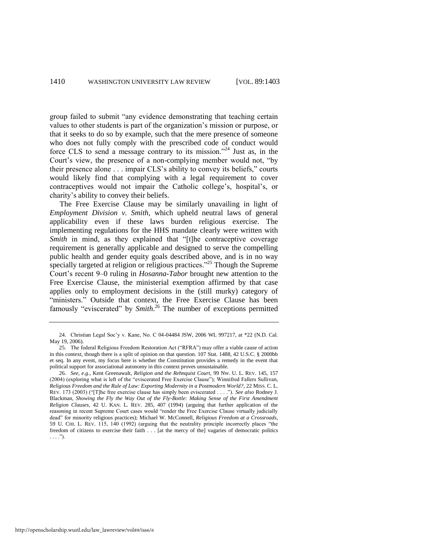group failed to submit "any evidence demonstrating that teaching certain values to other students is part of the organization's mission or purpose, or that it seeks to do so by example, such that the mere presence of someone who does not fully comply with the prescribed code of conduct would force CLS to send a message contrary to its mission."<sup>24</sup> Just as, in the Court's view, the presence of a non-complying member would not, "by their presence alone . . . impair CLS's ability to convey its beliefs," courts would likely find that complying with a legal requirement to cover contraceptives would not impair the Catholic college's, hospital's, or charity's ability to convey their beliefs.

The Free Exercise Clause may be similarly unavailing in light of *Employment Division v. Smith*, which upheld neutral laws of general applicability even if these laws burden religious exercise. The implementing regulations for the HHS mandate clearly were written with *Smith* in mind, as they explained that "[t]he contraceptive coverage requirement is generally applicable and designed to serve the compelling public health and gender equity goals described above, and is in no way specially targeted at religion or religious practices.<sup>325</sup> Though the Supreme Court's recent 9–0 ruling in *Hosanna-Tabor* brought new attention to the Free Exercise Clause, the ministerial exemption affirmed by that case applies only to employment decisions in the (still murky) category of "ministers." Outside that context, the Free Exercise Clause has been famously "eviscerated" by *Smith*.<sup>26</sup> The number of exceptions permitted

<sup>24.</sup> Christian Legal Soc'y v. Kane, No. C 04-04484 JSW, 2006 WL 997217, at \*22 (N.D. Cal. May 19, 2006).

<sup>25.</sup> The federal Religious Freedom Restoration Act ("RFRA") may offer a viable cause of action in this context, though there is a split of opinion on that question. 107 Stat. 1488, 42 U.S.C. § 2000bb et seq. In any event, my focus here is whether the Constitution provides a remedy in the event that political support for associational autonomy in this context proves unsustainable.

<sup>26.</sup> *See, e.g.*, Kent Greenawalt, *Religion and the Rehnquist Court*, 99 NW. U. L. REV. 145, 157 (2004) (exploring what is left of the "eviscerated Free Exercise Clause"); Winnifred Fallers Sullivan, *Religious Freedom and the Rule of Law: Exporting Modernity in a Postmodern World?*, 22 MISS. C. L. REV. 173 (2003) ("[T]he free exercise clause has simply been eviscerated . . . ."). *See also* Rodney J. Blackman, *Showing the Fly the Way Out of the Fly-Bottle: Making Sense of the First Amendment Religion Clauses*, 42 U. KAN. L. REV. 285, 407 (1994) (arguing that further application of the reasoning in recent Supreme Court cases would "render the Free Exercise Clause virtually judicially dead‖ for minority religious practices); Michael W. McConnell, *Religious Freedom at a Crossroads*, 59 U. CHI. L. REV. 115, 140 (1992) (arguing that the neutrality principle incorrectly places "the freedom of citizens to exercise their faith . . . [at the mercy of the] vagaries of democratic politics  $\ldots$ .").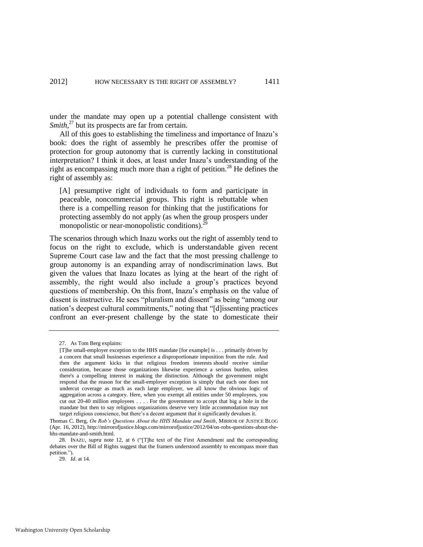under the mandate may open up a potential challenge consistent with Smith,<sup>27</sup> but its prospects are far from certain.

All of this goes to establishing the timeliness and importance of Inazu's book: does the right of assembly he prescribes offer the promise of protection for group autonomy that is currently lacking in constitutional interpretation? I think it does, at least under Inazu's understanding of the right as encompassing much more than a right of petition.<sup>28</sup> He defines the right of assembly as:

[A] presumptive right of individuals to form and participate in peaceable, noncommercial groups. This right is rebuttable when there is a compelling reason for thinking that the justifications for protecting assembly do not apply (as when the group prospers under monopolistic or near-monopolistic conditions). $2^{2}$ 

The scenarios through which Inazu works out the right of assembly tend to focus on the right to exclude, which is understandable given recent Supreme Court case law and the fact that the most pressing challenge to group autonomy is an expanding array of nondiscrimination laws. But given the values that Inazu locates as lying at the heart of the right of assembly, the right would also include a group's practices beyond questions of membership. On this front, Inazu's emphasis on the value of dissent is instructive. He sees "pluralism and dissent" as being "among our nation's deepest cultural commitments," noting that "[d] issenting practices confront an ever-present challenge by the state to domesticate their

<sup>27.</sup> As Tom Berg explains:

<sup>[</sup>T]he small-employer exception to the HHS mandate [for example] is . . . primarily driven by a concern that small businesses experience a disproportionate imposition from the rule. And then the argument kicks in that religious freedom interests should receive similar consideration, because those organizations likewise experience a serious burden, unless there's a compelling interest in making the distinction. Although the government might respond that the reason for the small-employer exception is simply that each one does not undercut coverage as much as each large employer, we all know the obvious logic of aggregation across a category. Here, when you exempt all entities under 50 employees, you cut out 20-40 million employees . . . . For the government to accept that big a hole in the mandate but then to say religious organizations deserve very little accommodation may not target religious conscience, but there's a decent argument that it significantly devalues it.

Thomas C. Berg, *On Rob's Questions About the HHS Mandate and Smith*, MIRROR OF JUSTICE BLOG (Apr. 16, 2012), http://mirrorofjustice.blogs.com/mirrorofjustice/2012/04/on-robs-questions-about-thehhs-mandate-and-smith.html.

<sup>28.</sup> INAZU, *supra* note [12,](#page-3-0) at 6 ("[T]he text of the First Amendment and the corresponding debates over the Bill of Rights suggest that the framers understood assembly to encompass more than petition.").

<sup>29.</sup> *Id*. at 14.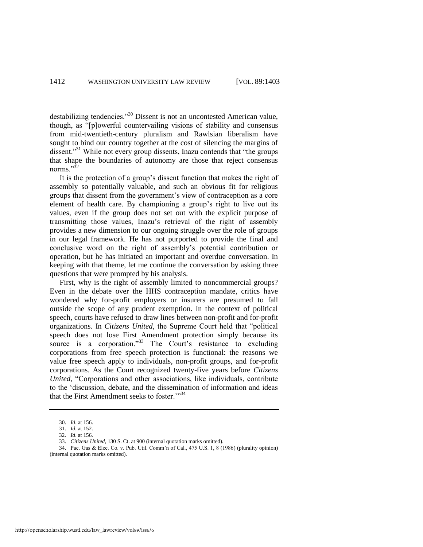destabilizing tendencies."<sup>30</sup> Dissent is not an uncontested American value, though, as "[p]owerful countervailing visions of stability and consensus from mid-twentieth-century pluralism and Rawlsian liberalism have sought to bind our country together at the cost of silencing the margins of dissent."<sup>31</sup> While not every group dissents, Inazu contends that "the groups" that shape the boundaries of autonomy are those that reject consensus norms<sup> $,32$ </sup>

It is the protection of a group's dissent function that makes the right of assembly so potentially valuable, and such an obvious fit for religious groups that dissent from the government's view of contraception as a core element of health care. By championing a group's right to live out its values, even if the group does not set out with the explicit purpose of transmitting those values, Inazu's retrieval of the right of assembly provides a new dimension to our ongoing struggle over the role of groups in our legal framework. He has not purported to provide the final and conclusive word on the right of assembly's potential contribution or operation, but he has initiated an important and overdue conversation. In keeping with that theme, let me continue the conversation by asking three questions that were prompted by his analysis.

First, why is the right of assembly limited to noncommercial groups? Even in the debate over the HHS contraception mandate, critics have wondered why for-profit employers or insurers are presumed to fall outside the scope of any prudent exemption. In the context of political speech, courts have refused to draw lines between non-profit and for-profit organizations. In *Citizens United*, the Supreme Court held that "political speech does not lose First Amendment protection simply because its source is a corporation.<sup>33</sup> The Court's resistance to excluding corporations from free speech protection is functional: the reasons we value free speech apply to individuals, non-profit groups, and for-profit corporations. As the Court recognized twenty-five years before *Citizens United*, "Corporations and other associations, like individuals, contribute to the 'discussion, debate, and the dissemination of information and ideas that the First Amendment seeks to foster. $\frac{334}{4}$ 

<sup>30.</sup> *Id*. at 156.

<sup>31.</sup> *Id*. at 152.

<sup>32.</sup> *Id*. at 156.

<sup>33.</sup> *Citizens United*, 130 S. Ct. at 900 (internal quotation marks omitted).

<sup>34.</sup> Pac. Gas & Elec. Co. v. Pub. Util. Comm'n of Cal., 475 U.S. 1, 8 (1986) (plurality opinion) (internal quotation marks omitted).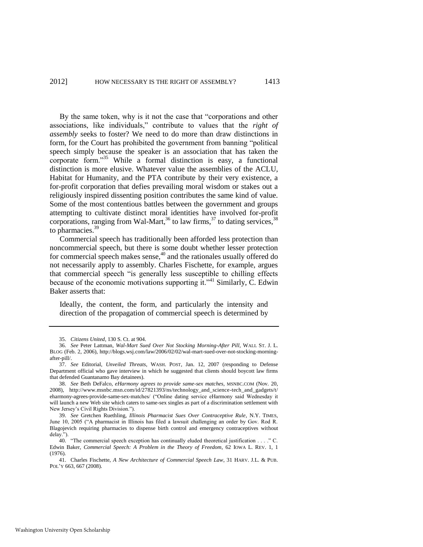By the same token, why is it not the case that "corporations and other associations, like individuals," contribute to values that the *right of assembly* seeks to foster? We need to do more than draw distinctions in form, for the Court has prohibited the government from banning "political speech simply because the speaker is an association that has taken the corporate form."<sup>35</sup> While a formal distinction is easy, a functional distinction is more elusive. Whatever value the assemblies of the ACLU, Habitat for Humanity, and the PTA contribute by their very existence, a for-profit corporation that defies prevailing moral wisdom or stakes out a religiously inspired dissenting position contributes the same kind of value. Some of the most contentious battles between the government and groups attempting to cultivate distinct moral identities have involved for-profit corporations, ranging from Wal-Mart,<sup>36</sup> to law firms,<sup>37</sup> to dating services,  $3<sup>8</sup>$ to pharmacies.<sup>39</sup>

<span id="page-11-0"></span>Commercial speech has traditionally been afforded less protection than noncommercial speech, but there is some doubt whether lesser protection for commercial speech makes sense, $40$  and the rationales usually offered do not necessarily apply to assembly. Charles Fischette, for example, argues that commercial speech "is generally less susceptible to chilling effects because of the economic motivations supporting it."<sup>41</sup> Similarly,  $\tilde{C}$ . Edwin Baker asserts that:

Ideally, the content, the form, and particularly the intensity and direction of the propagation of commercial speech is determined by

<sup>35.</sup> *Citizens United*, 130 S. Ct. at 904.

<sup>36.</sup> *See* Peter Lattman, *Wal-Mart Sued Over Not Stocking Morning-After Pill*, WALL ST. J. L. BLOG (Feb. 2, 2006), http://blogs.wsj.com/law/2006/02/02/wal-mart-sued-over-not-stocking-morningafter-pill/.

<sup>37.</sup> *See* Editorial, *Unveiled Threats*, WASH. POST, Jan. 12, 2007 (responding to Defense Department official who gave interview in which he suggested that clients should boycott law firms that defended Guantanamo Bay detainees).

<sup>38.</sup> *See* Beth DeFalco, *eHarmony agrees to provide same-sex matches*, MSNBC.COM (Nov. 20, 2008), http://www.msnbc.msn.com/id/27821393/ns/technology\_and\_science-tech\_and\_gadgets/t/ eharmony-agrees-provide-same-sex-matches/ ("Online dating service eHarmony said Wednesday it will launch a new Web site which caters to same-sex singles as part of a discrimination settlement with New Jersey's Civil Rights Division.").

<sup>39.</sup> *See* Gretchen Ruethling, *Illinois Pharmacist Sues Over Contraceptive Rule*, N.Y. TIMES, June 10, 2005 ("A pharmacist in Illinois has filed a lawsuit challenging an order by Gov. Rod R. Blagojevich requiring pharmacies to dispense birth control and emergency contraceptives without delay.").

<sup>40. &</sup>quot;The commercial speech exception has continually eluded theoretical justification . . . " C. Edwin Baker, *Commercial Speech: A Problem in the Theory of Freedom*, 62 IOWA L. REV. 1, 1 (1976).

<sup>41.</sup> Charles Fischette, *A New Architecture of Commercial Speech Law*, 31 HARV. J.L. & PUB. POL'Y 663, 667 (2008).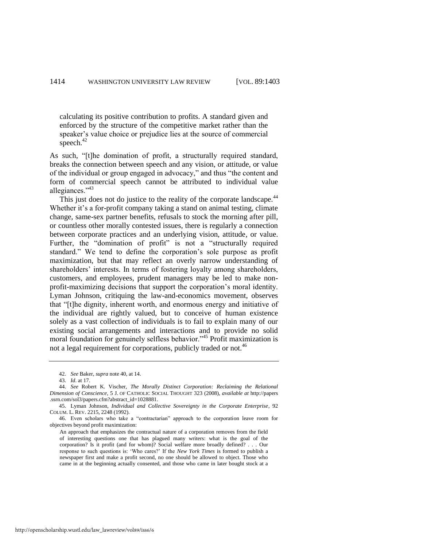calculating its positive contribution to profits. A standard given and enforced by the structure of the competitive market rather than the speaker's value choice or prejudice lies at the source of commercial speech.<sup>42</sup>

As such, "[t]he domination of profit, a structurally required standard, breaks the connection between speech and any vision, or attitude, or value of the individual or group engaged in advocacy," and thus "the content and form of commercial speech cannot be attributed to individual value allegiances."<sup>43</sup>

This just does not do justice to the reality of the corporate landscape.<sup>44</sup> Whether it's a for-profit company taking a stand on animal testing, climate change, same-sex partner benefits, refusals to stock the morning after pill, or countless other morally contested issues, there is regularly a connection between corporate practices and an underlying vision, attitude, or value. Further, the "domination of profit" is not a "structurally required standard." We tend to define the corporation's sole purpose as profit maximization, but that may reflect an overly narrow understanding of shareholders' interests. In terms of fostering loyalty among shareholders, customers, and employees, prudent managers may be led to make nonprofit-maximizing decisions that support the corporation's moral identity. Lyman Johnson, critiquing the law-and-economics movement, observes that "[t]he dignity, inherent worth, and enormous energy and initiative of the individual are rightly valued, but to conceive of human existence solely as a vast collection of individuals is to fail to explain many of our existing social arrangements and interactions and to provide no solid moral foundation for genuinely selfless behavior."<sup>45</sup> Profit maximization is not a legal requirement for corporations, publicly traded or not.<sup>46</sup>

<sup>42.</sup> *See* Baker, *supra* not[e 40,](#page-11-0) at 14.

<sup>43.</sup> *Id*. at 17.

<sup>44.</sup> *See* Robert K. Vischer, *The Morally Distinct Corporation: Reclaiming the Relational Dimension of Conscience*, 5 J. OF CATHOLIC SOCIAL THOUGHT 323 (2008), *available at* http://papers .ssrn.com/sol3/papers.cfm?abstract\_id=1028881.

<sup>45.</sup> Lyman Johnson, *Individual and Collective Sovereignty in the Corporate Enterprise*, 92 COLUM. L. REV. 2215, 2248 (1992).

<sup>46.</sup> Even scholars who take a "contractarian" approach to the corporation leave room for objectives beyond profit maximization:

An approach that emphasizes the contractual nature of a corporation removes from the field of interesting questions one that has plagued many writers: what is the goal of the corporation? Is it profit (and for whom)? Social welfare more broadly defined? . . . Our response to such questions is: ‗Who cares?' If the *New York Times* is formed to publish a newspaper first and make a profit second, no one should be allowed to object. Those who came in at the beginning actually consented, and those who came in later bought stock at a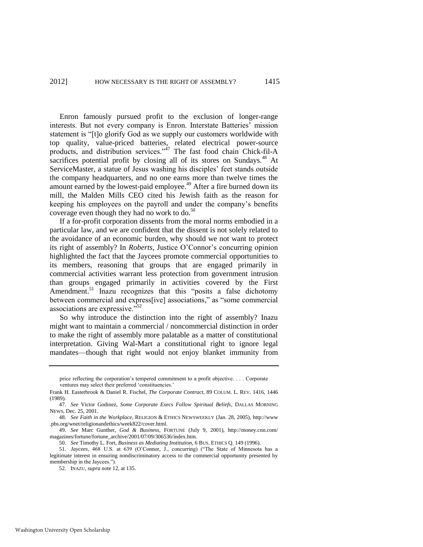Enron famously pursued profit to the exclusion of longer-range interests. But not every company is Enron. Interstate Batteries' mission statement is "[t]o glorify God as we supply our customers worldwide with top quality, value-priced batteries, related electrical power-source products, and distribution services."<sup>47</sup> The fast food chain Chick-fil-A sacrifices potential profit by closing all of its stores on Sundays.<sup>48</sup> At ServiceMaster, a statue of Jesus washing his disciples' feet stands outside the company headquarters, and no one earns more than twelve times the amount earned by the lowest-paid employee.<sup> $49$ </sup> After a fire burned down its mill, the Malden Mills CEO cited his Jewish faith as the reason for keeping his employees on the payroll and under the company's benefits coverage even though they had no work to do. $^{50}$ 

If a for-profit corporation dissents from the moral norms embodied in a particular law, and we are confident that the dissent is not solely related to the avoidance of an economic burden, why should we not want to protect its right of assembly? In *Roberts*, Justice O'Connor's concurring opinion highlighted the fact that the Jaycees promote commercial opportunities to its members, reasoning that groups that are engaged primarily in commercial activities warrant less protection from government intrusion than groups engaged primarily in activities covered by the First Amendment.<sup>51</sup> Inazu recognizes that this "posits a false dichotomy between commercial and express[ive] associations," as "some commercial associations are expressive.<sup>552</sup>

So why introduce the distinction into the right of assembly? Inazu might want to maintain a commercial / noncommercial distinction in order to make the right of assembly more palatable as a matter of constitutional interpretation. Giving Wal-Mart a constitutional right to ignore legal mandates—though that right would not enjoy blanket immunity from

price reflecting the corporation's tempered commitment to a profit objective. . . . Corporate ventures may select their preferred 'constituencies.

Frank H. Easterbrook & Daniel R. Fischel, *The Corporate Contract*, 89 COLUM. L. REV. 1416, 1446 (1989).

<sup>47.</sup> *See* Victor Godinez, *Some Corporate Execs Follow Spiritual Beliefs*, DALLAS MORNING NEWS, Dec. 25, 2001.

<sup>48.</sup> *See Faith in the Workplace*, RELIGION & ETHICS NEWSWEEKLY (Jan. 28, 2005), http://www .pbs.org/wnet/religionandethics/week822/cover.html.

<sup>49.</sup> *See* Marc Gunther, *God & Business*, FORTUNE (July 9, 2001), http://money.cnn.com/ magazines/fortune/fortune\_archive/2001/07/09/306536/index.htm.

<sup>50.</sup> *See* Timothy L. Fort, *Business as Mediating Institution*, 6 BUS. ETHICS Q. 149 (1996).

<sup>51.</sup> *Jaycees*, 468 U.S. at 639 (O'Connor, J., concurring) ("The State of Minnesota has a legitimate interest in ensuring nondiscriminatory access to the commercial opportunity presented by membership in the Jaycees."

<sup>52.</sup> INAZU, *supra* not[e 12,](#page-3-0) at 135.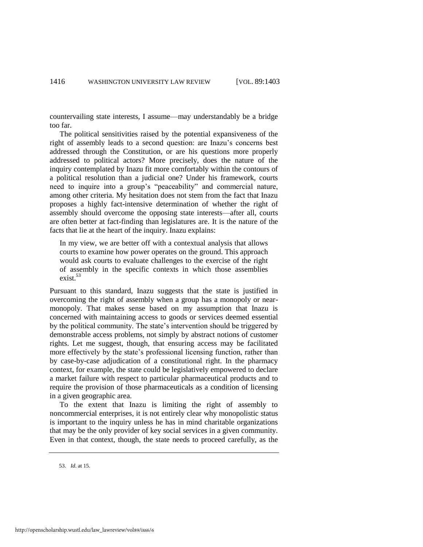countervailing state interests, I assume—may understandably be a bridge too far.

The political sensitivities raised by the potential expansiveness of the right of assembly leads to a second question: are Inazu's concerns best addressed through the Constitution, or are his questions more properly addressed to political actors? More precisely, does the nature of the inquiry contemplated by Inazu fit more comfortably within the contours of a political resolution than a judicial one? Under his framework, courts need to inquire into a group's "peaceability" and commercial nature, among other criteria. My hesitation does not stem from the fact that Inazu proposes a highly fact-intensive determination of whether the right of assembly should overcome the opposing state interests—after all, courts are often better at fact-finding than legislatures are. It is the nature of the facts that lie at the heart of the inquiry. Inazu explains:

In my view, we are better off with a contextual analysis that allows courts to examine how power operates on the ground. This approach would ask courts to evaluate challenges to the exercise of the right of assembly in the specific contexts in which those assemblies exist.<sup>53</sup>

Pursuant to this standard, Inazu suggests that the state is justified in overcoming the right of assembly when a group has a monopoly or nearmonopoly. That makes sense based on my assumption that Inazu is concerned with maintaining access to goods or services deemed essential by the political community. The state's intervention should be triggered by demonstrable access problems, not simply by abstract notions of customer rights. Let me suggest, though, that ensuring access may be facilitated more effectively by the state's professional licensing function, rather than by case-by-case adjudication of a constitutional right. In the pharmacy context, for example, the state could be legislatively empowered to declare a market failure with respect to particular pharmaceutical products and to require the provision of those pharmaceuticals as a condition of licensing in a given geographic area.

To the extent that Inazu is limiting the right of assembly to noncommercial enterprises, it is not entirely clear why monopolistic status is important to the inquiry unless he has in mind charitable organizations that may be the only provider of key social services in a given community. Even in that context, though, the state needs to proceed carefully, as the

<sup>53.</sup> *Id*. at 15.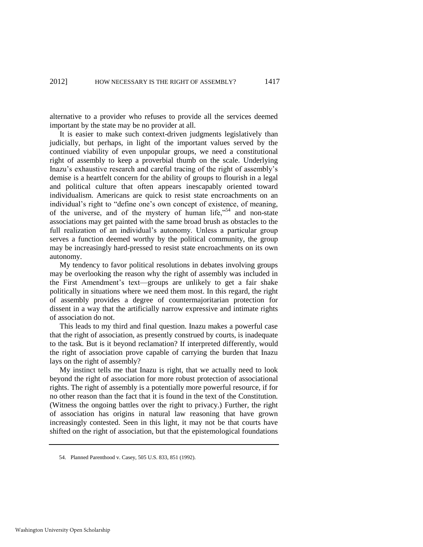alternative to a provider who refuses to provide all the services deemed important by the state may be no provider at all.

It is easier to make such context-driven judgments legislatively than judicially, but perhaps, in light of the important values served by the continued viability of even unpopular groups, we need a constitutional right of assembly to keep a proverbial thumb on the scale. Underlying Inazu's exhaustive research and careful tracing of the right of assembly's demise is a heartfelt concern for the ability of groups to flourish in a legal and political culture that often appears inescapably oriented toward individualism. Americans are quick to resist state encroachments on an individual's right to "define one's own concept of existence, of meaning, of the universe, and of the mystery of human life,"<sup>54</sup> and non-state associations may get painted with the same broad brush as obstacles to the full realization of an individual's autonomy. Unless a particular group serves a function deemed worthy by the political community, the group may be increasingly hard-pressed to resist state encroachments on its own autonomy.

My tendency to favor political resolutions in debates involving groups may be overlooking the reason why the right of assembly was included in the First Amendment's text—groups are unlikely to get a fair shake politically in situations where we need them most. In this regard, the right of assembly provides a degree of countermajoritarian protection for dissent in a way that the artificially narrow expressive and intimate rights of association do not.

This leads to my third and final question. Inazu makes a powerful case that the right of association, as presently construed by courts, is inadequate to the task. But is it beyond reclamation? If interpreted differently, would the right of association prove capable of carrying the burden that Inazu lays on the right of assembly?

My instinct tells me that Inazu is right, that we actually need to look beyond the right of association for more robust protection of associational rights. The right of assembly is a potentially more powerful resource, if for no other reason than the fact that it is found in the text of the Constitution. (Witness the ongoing battles over the right to privacy.) Further, the right of association has origins in natural law reasoning that have grown increasingly contested. Seen in this light, it may not be that courts have shifted on the right of association, but that the epistemological foundations

<sup>54.</sup> Planned Parenthood v. Casey, 505 U.S. 833, 851 (1992).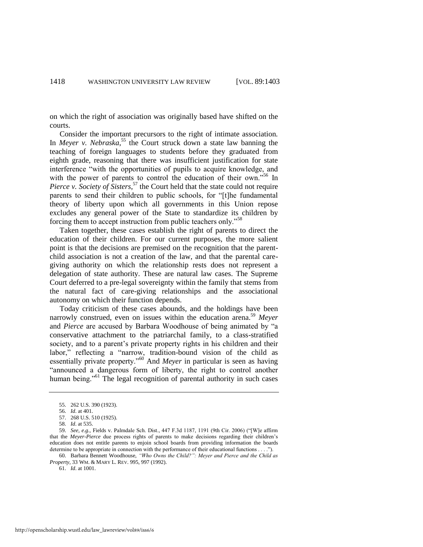on which the right of association was originally based have shifted on the courts.

Consider the important precursors to the right of intimate association. In *Meyer v. Nebraska*, <sup>55</sup> the Court struck down a state law banning the teaching of foreign languages to students before they graduated from eighth grade, reasoning that there was insufficient justification for state interference "with the opportunities of pupils to acquire knowledge, and with the power of parents to control the education of their own."<sup>56</sup> In Pierce v. Society of Sisters,<sup>57</sup> the Court held that the state could not require parents to send their children to public schools, for "[t]he fundamental theory of liberty upon which all governments in this Union repose excludes any general power of the State to standardize its children by forcing them to accept instruction from public teachers only."<sup>58</sup>

Taken together, these cases establish the right of parents to direct the education of their children. For our current purposes, the more salient point is that the decisions are premised on the recognition that the parentchild association is not a creation of the law, and that the parental caregiving authority on which the relationship rests does not represent a delegation of state authority. These are natural law cases. The Supreme Court deferred to a pre-legal sovereignty within the family that stems from the natural fact of care-giving relationships and the associational autonomy on which their function depends.

Today criticism of these cases abounds, and the holdings have been narrowly construed, even on issues within the education arena.<sup>59</sup> Meyer and *Pierce* are accused by Barbara Woodhouse of being animated by "a conservative attachment to the patriarchal family, to a class-stratified society, and to a parent's private property rights in his children and their labor," reflecting a "narrow, tradition-bound vision of the child as essentially private property."<sup>60</sup> And *Meyer* in particular is seen as having "announced a dangerous form of liberty, the right to control another human being."<sup>61</sup> The legal recognition of parental authority in such cases

<sup>55. 262</sup> U.S. 390 (1923).

<sup>56.</sup> *Id*. at 401.

<sup>57. 268</sup> U.S. 510 (1925).

<sup>58.</sup> *Id*. at 535.

<sup>59.</sup> *See, e.g.*, Fields v. Palmdale Sch. Dist., 447 F.3d 1187, 1191 (9th Cir. 2006) ("[W]e affirm that the *Meyer-Pierce* due process rights of parents to make decisions regarding their children's education does not entitle parents to enjoin school boards from providing information the boards determine to be appropriate in connection with the performance of their educational functions . . . .").

<sup>60.</sup> Barbara Bennett Woodhouse, *"Who Owns the Child?": Meyer and Pierce and the Child as Property*, 33 WM. & MARY L. REV. 995, 997 (1992).

<sup>61.</sup> *Id*. at 1001.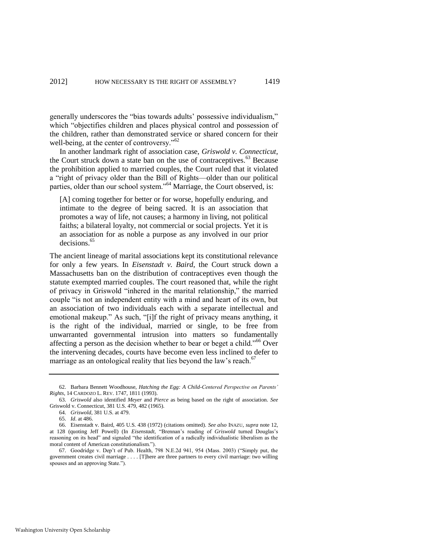generally underscores the "bias towards adults' possessive individualism," which "objectifies children and places physical control and possession of the children, rather than demonstrated service or shared concern for their well-being, at the center of controversy."<sup>62</sup>

In another landmark right of association case, *Griswold v. Connecticut*, the Court struck down a state ban on the use of contraceptives. $^{63}$  Because the prohibition applied to married couples, the Court ruled that it violated a "right of privacy older than the Bill of Rights—older than our political parties, older than our school system."<sup>64</sup> Marriage, the Court observed, is:

[A] coming together for better or for worse, hopefully enduring, and intimate to the degree of being sacred. It is an association that promotes a way of life, not causes; a harmony in living, not political faiths; a bilateral loyalty, not commercial or social projects. Yet it is an association for as noble a purpose as any involved in our prior decisions.<sup>65</sup>

The ancient lineage of marital associations kept its constitutional relevance for only a few years. In *Eisenstadt v. Baird*, the Court struck down a Massachusetts ban on the distribution of contraceptives even though the statute exempted married couples. The court reasoned that, while the right of privacy in Griswold "inhered in the marital relationship," the married couple "is not an independent entity with a mind and heart of its own, but an association of two individuals each with a separate intellectual and emotional makeup." As such, "[i]f the right of privacy means anything, it is the right of the individual, married or single, to be free from unwarranted governmental intrusion into matters so fundamentally affecting a person as the decision whether to bear or beget a child.<sup> $166$ </sup> Over the intervening decades, courts have become even less inclined to defer to marriage as an ontological reality that lies beyond the law's reach.<sup>67</sup>

<sup>62.</sup> Barbara Bennett Woodhouse, *Hatching the Egg: A Child-Centered Perspective on Parents' Rights*, 14 CARDOZO L. REV. 1747, 1811 (1993).

<sup>63.</sup> *Griswold* also identified *Meyer* and *Pierce* as being based on the right of association. *See* Griswold v. Connecticut, 381 U.S. 479, 482 (1965).

<sup>64.</sup> *Griswold*, 381 U.S. at 479.

<sup>65.</sup> *Id*. at 486.

<sup>66.</sup> Eisenstadt v. Baird, 405 U.S. 438 (1972) (citations omitted). *See also* INAZU, *supra* not[e 12,](#page-3-0)  at 128 (quoting Jeff Powell) (In *Eisenstadt*, "Brennan's reading of *Griswold* turned Douglas's reasoning on its head" and signaled "the identification of a radically individualistic liberalism as the moral content of American constitutionalism.").

<sup>67.</sup> Goodridge v. Dep't of Pub. Health, 798 N.E.2d 941, 954 (Mass. 2003) ("Simply put, the government creates civil marriage . . . . [T]here are three partners to every civil marriage: two willing spouses and an approving State.").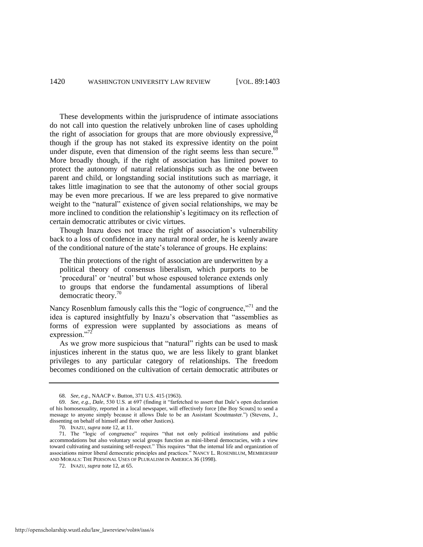These developments within the jurisprudence of intimate associations do not call into question the relatively unbroken line of cases upholding the right of association for groups that are more obviously expressive,  $68$ though if the group has not staked its expressive identity on the point under dispute, even that dimension of the right seems less than secure.<sup>69</sup> More broadly though, if the right of association has limited power to protect the autonomy of natural relationships such as the one between parent and child, or longstanding social institutions such as marriage, it takes little imagination to see that the autonomy of other social groups may be even more precarious. If we are less prepared to give normative weight to the "natural" existence of given social relationships, we may be more inclined to condition the relationship's legitimacy on its reflection of certain democratic attributes or civic virtues.

Though Inazu does not trace the right of association's vulnerability back to a loss of confidence in any natural moral order, he is keenly aware of the conditional nature of the state's tolerance of groups. He explains:

The thin protections of the right of association are underwritten by a political theory of consensus liberalism, which purports to be 'procedural' or 'neutral' but whose espoused tolerance extends only to groups that endorse the fundamental assumptions of liberal democratic theory.<sup>70</sup>

Nancy Rosenblum famously calls this the "logic of congruence,"<sup>71</sup> and the idea is captured insightfully by Inazu's observation that "assemblies as forms of expression were supplanted by associations as means of expression."72

As we grow more suspicious that "natural" rights can be used to mask injustices inherent in the status quo, we are less likely to grant blanket privileges to any particular category of relationships. The freedom becomes conditioned on the cultivation of certain democratic attributes or

<sup>68.</sup> *See, e.g.*, NAACP v. Button, 371 U.S. 415 (1963).

<sup>69.</sup> *See, e.g., Dale,* 530 U.S. at 697 (finding it "farfetched to assert that Dale's open declaration of his homosexuality, reported in a local newspaper, will effectively force [the Boy Scouts] to send a message to anyone simply because it allows Dale to be an Assistant Scoutmaster.") (Stevens, J., dissenting on behalf of himself and three other Justices).

<sup>70.</sup> INAZU, *supra* not[e 12,](#page-3-0) at 11.

<sup>71.</sup> The "logic of congruence" requires "that not only political institutions and public accommodations but also voluntary social groups function as mini-liberal democracies, with a view toward cultivating and sustaining self-respect." This requires "that the internal life and organization of associations mirror liberal democratic principles and practices." NANCY L. ROSENBLUM, MEMBERSHIP AND MORALS: THE PERSONAL USES OF PLURALISM IN AMERICA 36 (1998).

<sup>72.</sup> INAZU, *supra* not[e 12,](#page-3-0) at 65.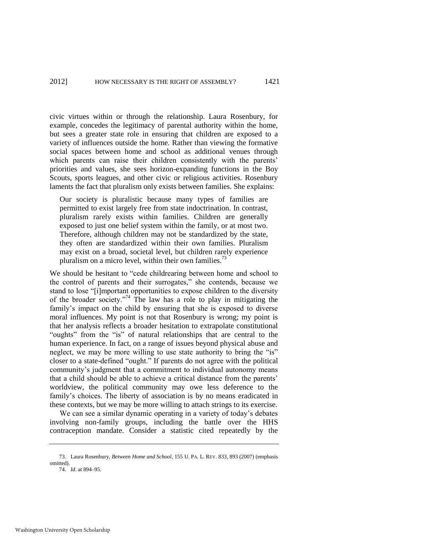civic virtues within or through the relationship. Laura Rosenbury, for example, concedes the legitimacy of parental authority within the home, but sees a greater state role in ensuring that children are exposed to a variety of influences outside the home. Rather than viewing the formative social spaces between home and school as additional venues through which parents can raise their children consistently with the parents' priorities and values, she sees horizon-expanding functions in the Boy Scouts, sports leagues, and other civic or religious activities. Rosenbury laments the fact that pluralism only exists between families. She explains:

Our society is pluralistic because many types of families are permitted to exist largely free from state indoctrination. In contrast, pluralism rarely exists within families. Children are generally exposed to just one belief system within the family, or at most two. Therefore, although children may not be standardized by the state, they often are standardized within their own families. Pluralism may exist on a broad, societal level, but children rarely experience pluralism on a micro level, within their own families.<sup>73</sup>

We should be hesitant to "cede childrearing between home and school to the control of parents and their surrogates," she contends, because we stand to lose "[i]mportant opportunities to expose children to the diversity of the broader society."<sup>74</sup> The law has a role to play in mitigating the family's impact on the child by ensuring that she is exposed to diverse moral influences. My point is not that Rosenbury is wrong; my point is that her analysis reflects a broader hesitation to extrapolate constitutional "oughts" from the "is" of natural relationships that are central to the human experience. In fact, on a range of issues beyond physical abuse and neglect, we may be more willing to use state authority to bring the "is" closer to a state-defined "ought." If parents do not agree with the political community's judgment that a commitment to individual autonomy means that a child should be able to achieve a critical distance from the parents' worldview, the political community may owe less deference to the family's choices. The liberty of association is by no means eradicated in these contexts, but we may be more willing to attach strings to its exercise.

We can see a similar dynamic operating in a variety of today's debates involving non-family groups, including the battle over the HHS contraception mandate. Consider a statistic cited repeatedly by the

<sup>73.</sup> Laura Rosenbury, *Between Home and School*, 155 U. PA. L. REV. 833, 893 (2007) (emphasis omitted).

<sup>74.</sup> *Id*. at 894–95.